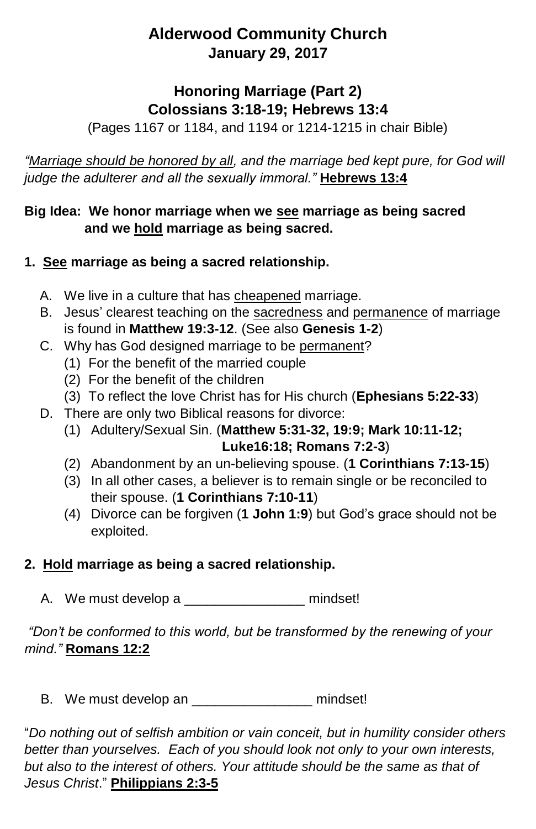# **Alderwood Community Church January 29, 2017**

## **Honoring Marriage (Part 2) Colossians 3:18-19; Hebrews 13:4**

(Pages 1167 or 1184, and 1194 or 1214-1215 in chair Bible)

*"Marriage should be honored by all, and the marriage bed kept pure, for God will judge the adulterer and all the sexually immoral."* **Hebrews 13:4**

#### **Big Idea: We honor marriage when we see marriage as being sacred and we hold marriage as being sacred.**

## **1. See marriage as being a sacred relationship.**

- A. We live in a culture that has cheapened marriage.
- B. Jesus' clearest teaching on the sacredness and permanence of marriage is found in **Matthew 19:3-12**. (See also **Genesis 1-2**)
- C. Why has God designed marriage to be permanent?
	- (1) For the benefit of the married couple
	- (2) For the benefit of the children
	- (3) To reflect the love Christ has for His church (**Ephesians 5:22-33**)
- D. There are only two Biblical reasons for divorce:
	- (1) Adultery/Sexual Sin. (**Matthew 5:31-32, 19:9; Mark 10:11-12; Luke16:18; Romans 7:2-3**)
	- (2) Abandonment by an un-believing spouse. (**1 Corinthians 7:13-15**)
	- (3) In all other cases, a believer is to remain single or be reconciled to their spouse. (**1 Corinthians 7:10-11**)
	- (4) Divorce can be forgiven (**1 John 1:9**) but God's grace should not be exploited.

#### **2. Hold marriage as being a sacred relationship.**

A. We must develop a \_\_\_\_\_\_\_\_\_\_\_\_\_\_\_\_\_\_\_\_ mindset!

*"Don't be conformed to this world, but be transformed by the renewing of your mind."* **Romans 12:2**

B. We must develop an **Example 20** mindset!

"*Do nothing out of selfish ambition or vain conceit, but in humility consider others better than yourselves. Each of you should look not only to your own interests,*  but also to the interest of others. Your attitude should be the same as that of *Jesus Christ*." **Philippians 2:3-5**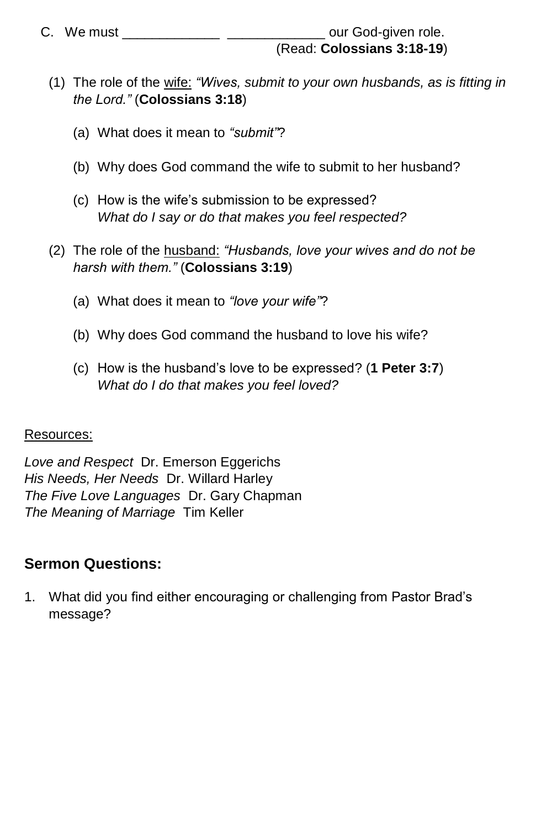- (1) The role of the wife: *"Wives, submit to your own husbands, as is fitting in the Lord."* (**Colossians 3:18**)
	- (a) What does it mean to *"submit"*?
	- (b) Why does God command the wife to submit to her husband?
	- (c) How is the wife's submission to be expressed? *What do I say or do that makes you feel respected?*
- (2) The role of the husband: *"Husbands, love your wives and do not be harsh with them."* (**Colossians 3:19**)
	- (a) What does it mean to *"love your wife"*?
	- (b) Why does God command the husband to love his wife?
	- (c) How is the husband's love to be expressed? (**1 Peter 3:7**) *What do I do that makes you feel loved?*

#### Resources:

*Love and Respect* Dr. Emerson Eggerichs *His Needs, Her Needs* Dr. Willard Harley *The Five Love Languages* Dr. Gary Chapman *The Meaning of Marriage* Tim Keller

#### **Sermon Questions:**

1. What did you find either encouraging or challenging from Pastor Brad's message?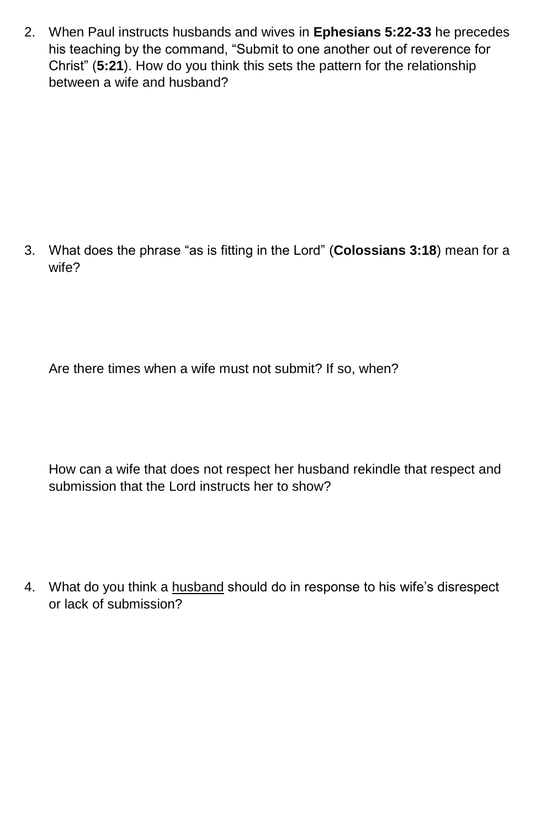2. When Paul instructs husbands and wives in **Ephesians 5:22-33** he precedes his teaching by the command, "Submit to one another out of reverence for Christ" (**5:21**). How do you think this sets the pattern for the relationship between a wife and husband?

3. What does the phrase "as is fitting in the Lord" (**Colossians 3:18**) mean for a wife?

Are there times when a wife must not submit? If so, when?

How can a wife that does not respect her husband rekindle that respect and submission that the Lord instructs her to show?

4. What do you think a husband should do in response to his wife's disrespect or lack of submission?